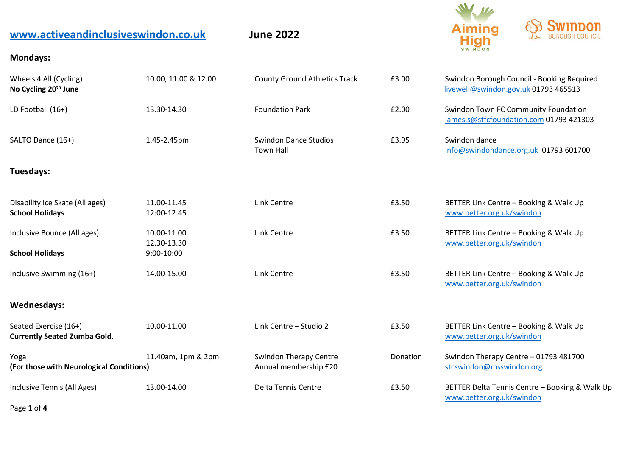| www.activeandinclusiveswindon.co.uk                          |                                          | <b>June 2022</b>                                       |          | Aiming<br><b>High</b>                                                              |
|--------------------------------------------------------------|------------------------------------------|--------------------------------------------------------|----------|------------------------------------------------------------------------------------|
| <b>Mondays:</b>                                              |                                          |                                                        |          |                                                                                    |
| Wheels 4 All (Cycling)<br>No Cycling 20 <sup>th</sup> June   | 10.00, 11.00 & 12.00                     | <b>County Ground Athletics Track</b>                   | £3.00    | Swindon Borough Council - Booking Required<br>livewell@swindon.gov.uk 01793 465513 |
| LD Football (16+)                                            | 13.30-14.30                              | <b>Foundation Park</b>                                 | £2.00    | Swindon Town FC Community Foundation<br>james.s@stfcfoundation.com 01793 421303    |
| SALTO Dance (16+)                                            | 1.45-2.45pm                              | <b>Swindon Dance Studios</b><br><b>Town Hall</b>       | £3.95    | Swindon dance<br>info@swindondance.org.uk 01793 601700                             |
| Tuesdays:                                                    |                                          |                                                        |          |                                                                                    |
| Disability Ice Skate (All ages)<br><b>School Holidays</b>    | 11.00-11.45<br>12:00-12.45               | Link Centre                                            | £3.50    | BETTER Link Centre - Booking & Walk Up<br>www.better.org.uk/swindon                |
| Inclusive Bounce (All ages)<br><b>School Holidays</b>        | 10.00-11.00<br>12.30-13.30<br>9:00-10:00 | Link Centre                                            | £3.50    | BETTER Link Centre - Booking & Walk Up<br>www.better.org.uk/swindon                |
| Inclusive Swimming (16+)                                     | 14.00-15.00                              | Link Centre                                            | £3.50    | BETTER Link Centre - Booking & Walk Up<br>www.better.org.uk/swindon                |
| <b>Wednesdays:</b>                                           |                                          |                                                        |          |                                                                                    |
| Seated Exercise (16+)<br><b>Currently Seated Zumba Gold.</b> | 10.00-11.00                              | Link Centre - Studio 2                                 | £3.50    | BETTER Link Centre - Booking & Walk Up<br>www.better.org.uk/swindon                |
| Yoga<br>(For those with Neurological Conditions)             | 11.40am, 1pm & 2pm                       | <b>Swindon Therapy Centre</b><br>Annual membership £20 | Donation | Swindon Therapy Centre - 01793 481700<br>stcswindon@msswindon.org                  |
| Inclusive Tennis (All Ages)                                  | 13.00-14.00                              | Delta Tennis Centre                                    | £3.50    | BETTER Delta Tennis Centre - Booking & Walk Up<br>www.better.org.uk/swindon        |

Page **1** of **4**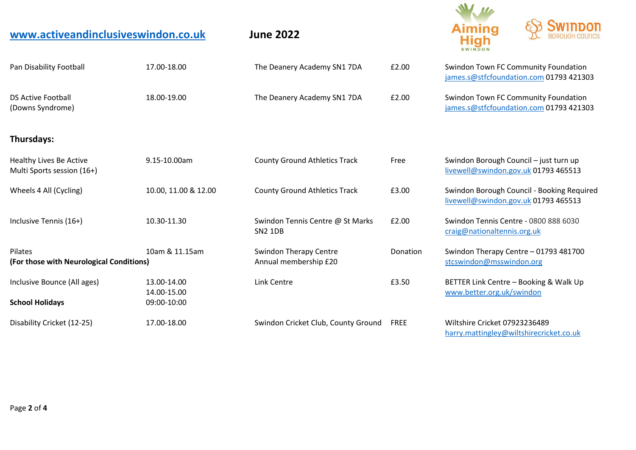| www.activeandinclusiveswindon.co.uk                   |                                           | <b>June 2022</b>                                       |             | Hiah                                                                               |  |
|-------------------------------------------------------|-------------------------------------------|--------------------------------------------------------|-------------|------------------------------------------------------------------------------------|--|
| Pan Disability Football                               | 17.00-18.00                               | The Deanery Academy SN1 7DA                            | £2.00       | Swindon Town FC Community Foundation<br>james.s@stfcfoundation.com 01793 421303    |  |
| <b>DS Active Football</b><br>(Downs Syndrome)         | 18.00-19.00                               | The Deanery Academy SN1 7DA                            | £2.00       | Swindon Town FC Community Foundation<br>james.s@stfcfoundation.com 01793 421303    |  |
| Thursdays:                                            |                                           |                                                        |             |                                                                                    |  |
| Healthy Lives Be Active<br>Multi Sports session (16+) | 9.15-10.00am                              | <b>County Ground Athletics Track</b>                   | Free        | Swindon Borough Council - just turn up<br>livewell@swindon.gov.uk 01793 465513     |  |
| Wheels 4 All (Cycling)                                | 10.00, 11.00 & 12.00                      | <b>County Ground Athletics Track</b>                   | £3.00       | Swindon Borough Council - Booking Required<br>livewell@swindon.gov.uk 01793 465513 |  |
| Inclusive Tennis (16+)                                | 10.30-11.30                               | Swindon Tennis Centre @ St Marks<br><b>SN2 1DB</b>     | £2.00       | Swindon Tennis Centre - 0800 888 6030<br>craig@nationaltennis.org.uk               |  |
| Pilates<br>(For those with Neurological Conditions)   | 10am & 11.15am                            | <b>Swindon Therapy Centre</b><br>Annual membership £20 | Donation    | Swindon Therapy Centre - 01793 481700<br>stcswindon@msswindon.org                  |  |
| Inclusive Bounce (All ages)<br><b>School Holidays</b> | 13.00-14.00<br>14.00-15.00<br>09:00-10:00 | Link Centre                                            | £3.50       | BETTER Link Centre - Booking & Walk Up<br>www.better.org.uk/swindon                |  |
| Disability Cricket (12-25)                            | 17.00-18.00                               | Swindon Cricket Club, County Ground                    | <b>FREE</b> | Wiltshire Cricket 07923236489<br>harry.mattingley@wiltshirecricket.co.uk           |  |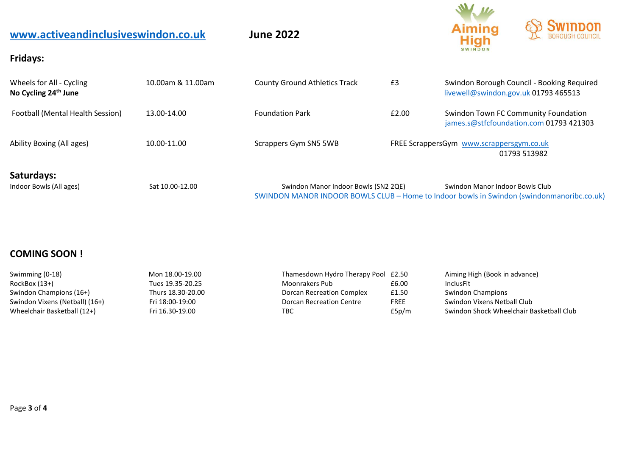| www.activeandinclusiveswindon.co.uk<br><b>Fridays:</b>       |                   | <b>June 2022</b>                     |       | <b>Swindon</b><br><b>Aiming</b><br><b>High</b><br>SWINDON |                                            |  |
|--------------------------------------------------------------|-------------------|--------------------------------------|-------|-----------------------------------------------------------|--------------------------------------------|--|
| Wheels for All - Cycling<br>No Cycling 24 <sup>th</sup> June | 10.00am & 11.00am | <b>County Ground Athletics Track</b> | £3    | livewell@swindon.gov.uk 01793 465513                      | Swindon Borough Council - Booking Required |  |
| Football (Mental Health Session)                             | 13.00-14.00       | <b>Foundation Park</b>               | £2.00 | <b>Swindon Town FC Community Foundation</b>               | james.s@stfcfoundation.com 01793 421303    |  |
| Ability Boxing (All ages)                                    | 10.00-11.00       | Scrappers Gym SN5 5WB                |       | FREE ScrappersGym_www.scrappersgym.co.uk                  | 01793 513982                               |  |
| Saturdays:<br>Indoor Bowls (All ages)                        | Sat 10.00-12.00   | Swindon Manor Indoor Bowls (SN2 20E) |       | Swindon Manor Indoor Bowls Club                           |                                            |  |

| Indoor Bowls (All ages) | Sat 10.00-12.00 | Swindon Manor Indoor Bowls (SN2 2QE) | Swindon Manor Indoor Bowls Club                                                           |
|-------------------------|-----------------|--------------------------------------|-------------------------------------------------------------------------------------------|
|                         |                 |                                      | SWINDON MANOR INDOOR BOWLS CLUB - Home to Indoor bowls in Swindon (swindonmanoribc.co.uk) |

## **COMING SOON !**

| Swimming (0-18)                | Mon 18.00-19.00   | Thamesdown Hydro Therapy Pool £2.50 |             | Aiming High (Book in advance)            |
|--------------------------------|-------------------|-------------------------------------|-------------|------------------------------------------|
| RockBox (13+)                  | Tues 19.35-20.25  | Moonrakers Pub                      | £6.00       | <b>InclusFit</b>                         |
| Swindon Champions (16+)        | Thurs 18.30-20.00 | Dorcan Recreation Complex           | £1.50       | Swindon Champions                        |
| Swindon Vixens (Netball) (16+) | Fri 18:00-19:00   | Dorcan Recreation Centre            | <b>FREE</b> | Swindon Vixens Netball Club              |
| Wheelchair Basketball (12+)    | Fri 16.30-19.00   | твс                                 | £5p/m       | Swindon Shock Wheelchair Basketball Club |